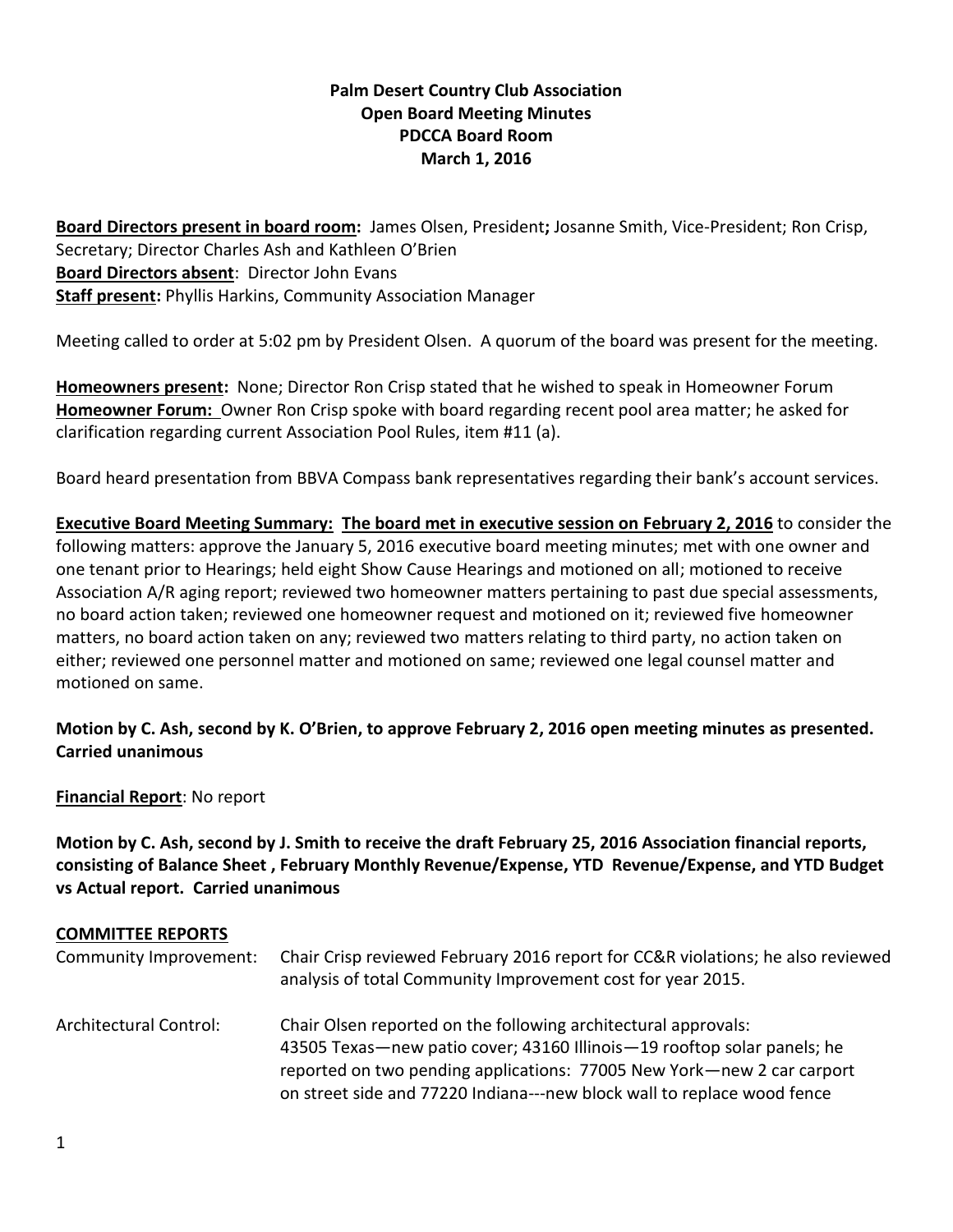# **Palm Desert Country Club Association Open Board Meeting Minutes PDCCA Board Room March 1, 2016**

**Board Directors present in board room:** James Olsen, President**;** Josanne Smith, Vice-President; Ron Crisp, Secretary; Director Charles Ash and Kathleen O'Brien **Board Directors absent**: Director John Evans **Staff present:** Phyllis Harkins, Community Association Manager

Meeting called to order at 5:02 pm by President Olsen. A quorum of the board was present for the meeting.

**Homeowners present:** None; Director Ron Crisp stated that he wished to speak in Homeowner Forum **Homeowner Forum:** Owner Ron Crisp spoke with board regarding recent pool area matter; he asked for clarification regarding current Association Pool Rules, item #11 (a).

Board heard presentation from BBVA Compass bank representatives regarding their bank's account services.

**Executive Board Meeting Summary: The board met in executive session on February 2, 2016** to consider the following matters: approve the January 5, 2016 executive board meeting minutes; met with one owner and one tenant prior to Hearings; held eight Show Cause Hearings and motioned on all; motioned to receive Association A/R aging report; reviewed two homeowner matters pertaining to past due special assessments, no board action taken; reviewed one homeowner request and motioned on it; reviewed five homeowner matters, no board action taken on any; reviewed two matters relating to third party, no action taken on either; reviewed one personnel matter and motioned on same; reviewed one legal counsel matter and motioned on same.

### **Motion by C. Ash, second by K. O'Brien, to approve February 2, 2016 open meeting minutes as presented. Carried unanimous**

**Financial Report**: No report

**Motion by C. Ash, second by J. Smith to receive the draft February 25, 2016 Association financial reports, consisting of Balance Sheet , February Monthly Revenue/Expense, YTD Revenue/Expense, and YTD Budget vs Actual report. Carried unanimous** 

#### **COMMITTEE REPORTS**

| Community Improvement: | Chair Crisp reviewed February 2016 report for CC&R violations; he also reviewed<br>analysis of total Community Improvement cost for year 2015.                                                                                                                                                 |
|------------------------|------------------------------------------------------------------------------------------------------------------------------------------------------------------------------------------------------------------------------------------------------------------------------------------------|
| Architectural Control: | Chair Olsen reported on the following architectural approvals:<br>43505 Texas—new patio cover; 43160 Illinois—19 rooftop solar panels; he<br>reported on two pending applications: 77005 New York—new 2 car carport<br>on street side and 77220 Indiana---new block wall to replace wood fence |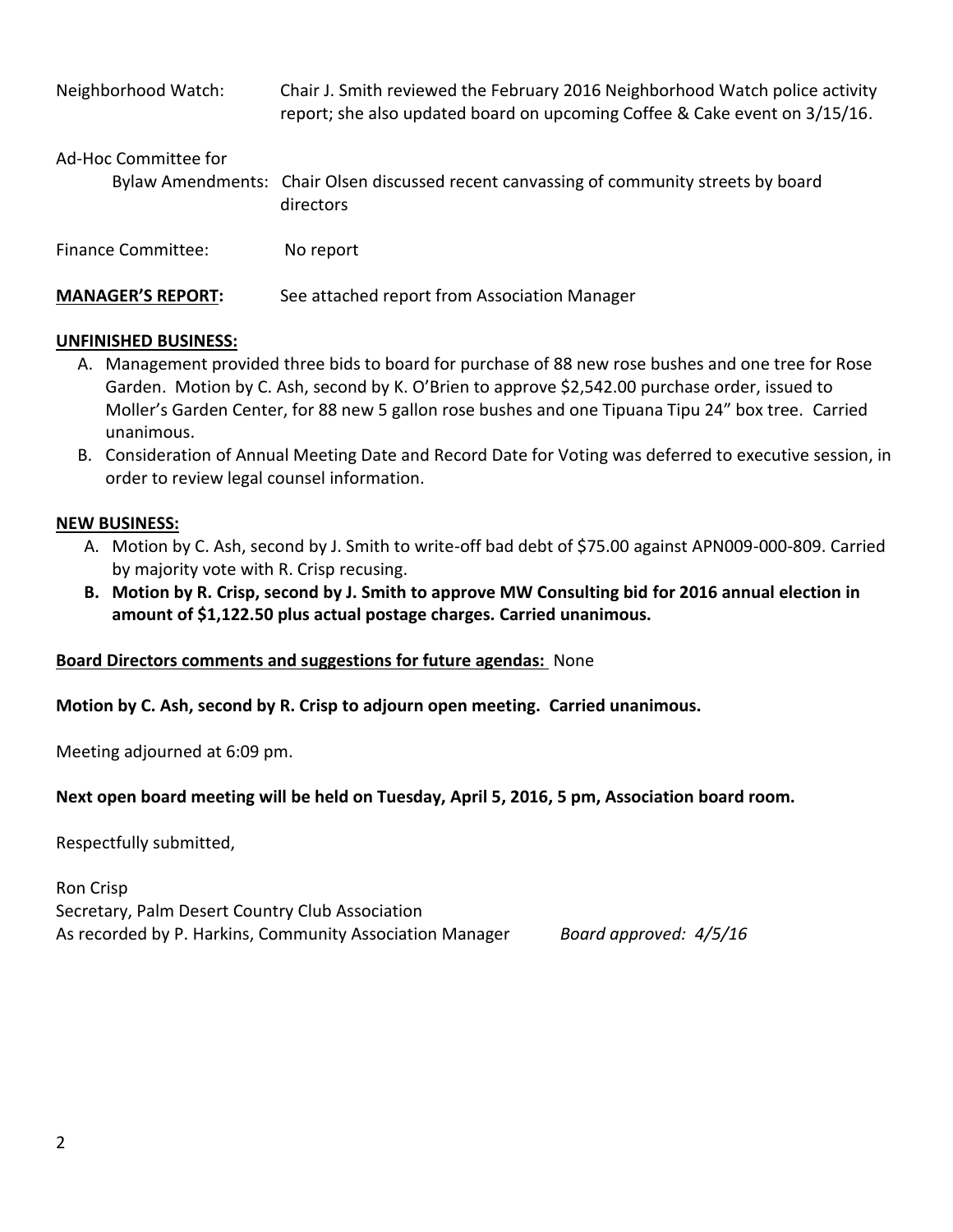| Neighborhood Watch:       | Chair J. Smith reviewed the February 2016 Neighborhood Watch police activity<br>report; she also updated board on upcoming Coffee & Cake event on 3/15/16. |
|---------------------------|------------------------------------------------------------------------------------------------------------------------------------------------------------|
| Ad-Hoc Committee for      | Bylaw Amendments: Chair Olsen discussed recent canvassing of community streets by board<br>directors                                                       |
| <b>Finance Committee:</b> | No report                                                                                                                                                  |
| <b>MANAGER'S REPORT:</b>  | See attached report from Association Manager                                                                                                               |

### **UNFINISHED BUSINESS:**

- A. Management provided three bids to board for purchase of 88 new rose bushes and one tree for Rose Garden. Motion by C. Ash, second by K. O'Brien to approve \$2,542.00 purchase order, issued to Moller's Garden Center, for 88 new 5 gallon rose bushes and one Tipuana Tipu 24" box tree. Carried unanimous.
- B. Consideration of Annual Meeting Date and Record Date for Voting was deferred to executive session, in order to review legal counsel information.

### **NEW BUSINESS:**

- A. Motion by C. Ash, second by J. Smith to write-off bad debt of \$75.00 against APN009-000-809. Carried by majority vote with R. Crisp recusing.
- **B. Motion by R. Crisp, second by J. Smith to approve MW Consulting bid for 2016 annual election in amount of \$1,122.50 plus actual postage charges. Carried unanimous.**

### **Board Directors comments and suggestions for future agendas:** None

**Motion by C. Ash, second by R. Crisp to adjourn open meeting. Carried unanimous.**

Meeting adjourned at 6:09 pm.

### **Next open board meeting will be held on Tuesday, April 5, 2016, 5 pm, Association board room.**

Respectfully submitted,

Ron Crisp Secretary, Palm Desert Country Club Association As recorded by P. Harkins, Community Association Manager *Board approved: 4/5/16*